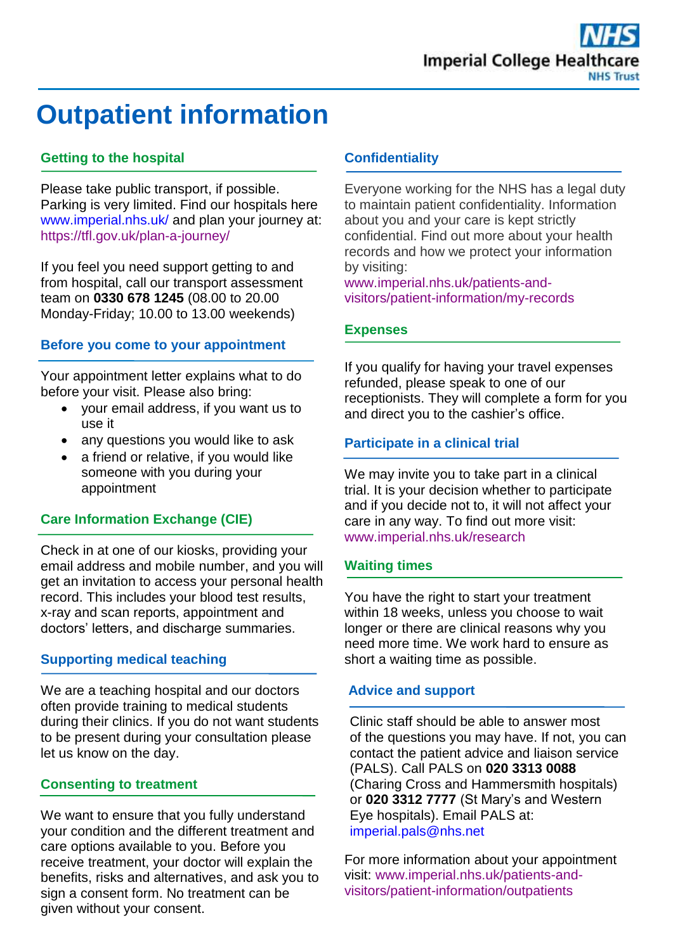# **Outpatient information**

# **Getting to the hospital**

Please take public transport, if possible. Parking is very limited. Find our hospitals here [www.imperial.nhs.uk/](http://www.imperial.nhs.uk/) and plan your journey at: <https://tfl.gov.uk/plan-a-journey/>

If you feel you need support getting to and from hospital, call our transport assessment team on **0330 678 1245** (08.00 to 20.00 Monday-Friday; 10.00 to 13.00 weekends)

## **Before you come to your appointment**

Your appointment letter explains what to do before your visit. Please also bring:

- your email address, if you want us to use it
- any questions you would like to ask
- a friend or relative, if you would like someone with you during your appointment

# **Care Information Exchange (CIE)**

Check in at one of our kiosks, providing your email address and mobile number, and you will get an invitation to access your personal health record. This includes your blood test results, x-ray and scan reports, appointment and doctors' letters, and discharge summaries.

## **Supporting medical teaching**

We are a teaching hospital and our doctors often provide training to medical students during their clinics. If you do not want students to be present during your consultation please let us know on the day.

## **Consenting to treatment**

We want to ensure that you fully understand your condition and the different treatment and care options available to you. Before you receive treatment, your doctor will explain the benefits, risks and alternatives, and ask you to sign a consent form. No treatment can be given without your consent.

#### **Confidentiality**

Everyone working for the NHS has a legal duty to maintain patient confidentiality. Information about you and your care is kept strictly confidential. Find out more about your health records and how we protect your information by visiting:

[www.imperial.nhs.uk/patients-and](http://www.imperial.nhs.uk/patients-and-visitors/patient-information/my-records)[visitors/patient-information/my-records](http://www.imperial.nhs.uk/patients-and-visitors/patient-information/my-records)

## **Expenses**

If you qualify for having your travel expenses refunded, please speak to one of our receptionists. They will complete a form for you and direct you to the cashier's office.

# **Participate in a clinical trial**

We may invite you to take part in a clinical trial. It is your decision whether to participate and if you decide not to, it will not affect your care in any way. To find out more visit: [www.imperial.nhs.uk/research](http://www.imperial.nhs.uk/research)

## **Waiting times**

You have the right to start your treatment within 18 weeks, unless you choose to wait longer or there are clinical reasons why you need more time. We work hard to ensure as short a waiting time as possible.

## **Advice and support**

Clinic staff should be able to answer most of the questions you may have. If not, you can contact the patient advice and liaison service (PALS). Call PALS on **020 3313 0088** (Charing Cross and Hammersmith hospitals) or **020 3312 7777** (St Mary's and Western Eye hospitals). Email PALS at: [imperial.pals@nhs.net](mailto:imperial.pals@nhs.net)

For more information about your appointment visit: [www.imperial.nhs.uk/patients-and](http://www.imperial.nhs.uk/patients-and-visitors/patient-information/outpatients)[visitors/patient-information/outpatients](http://www.imperial.nhs.uk/patients-and-visitors/patient-information/outpatients)